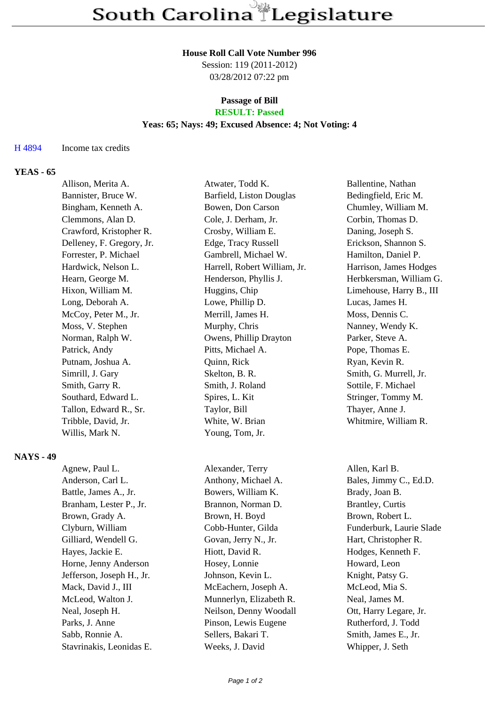#### **House Roll Call Vote Number 996**

Session: 119 (2011-2012) 03/28/2012 07:22 pm

### **Passage of Bill RESULT: Passed**

### **Yeas: 65; Nays: 49; Excused Absence: 4; Not Voting: 4**

### H 4894 Income tax credits

### **YEAS - 65**

| Allison, Merita A.        | Atwater, Todd K.             | Ballentine, Nathan       |
|---------------------------|------------------------------|--------------------------|
| Bannister, Bruce W.       | Barfield, Liston Douglas     | Bedingfield, Eric M.     |
| Bingham, Kenneth A.       | Bowen, Don Carson            | Chumley, William M.      |
| Clemmons, Alan D.         | Cole, J. Derham, Jr.         | Corbin, Thomas D.        |
| Crawford, Kristopher R.   | Crosby, William E.           | Daning, Joseph S.        |
| Delleney, F. Gregory, Jr. | Edge, Tracy Russell          | Erickson, Shannon S.     |
| Forrester, P. Michael     | Gambrell, Michael W.         | Hamilton, Daniel P.      |
| Hardwick, Nelson L.       | Harrell, Robert William, Jr. | Harrison, James Hodges   |
| Hearn, George M.          | Henderson, Phyllis J.        | Herbkersman, William G.  |
| Hixon, William M.         | Huggins, Chip                | Limehouse, Harry B., III |
| Long, Deborah A.          | Lowe, Phillip D.             | Lucas, James H.          |
| McCoy, Peter M., Jr.      | Merrill, James H.            | Moss, Dennis C.          |
| Moss, V. Stephen          | Murphy, Chris                | Nanney, Wendy K.         |
| Norman, Ralph W.          | Owens, Phillip Drayton       | Parker, Steve A.         |
| Patrick, Andy             | Pitts, Michael A.            | Pope, Thomas E.          |
| Putnam, Joshua A.         | Quinn, Rick                  | Ryan, Kevin R.           |
| Simrill, J. Gary          | Skelton, B. R.               | Smith, G. Murrell, Jr.   |
| Smith, Garry R.           | Smith, J. Roland             | Sottile, F. Michael      |
| Southard, Edward L.       | Spires, L. Kit               | Stringer, Tommy M.       |
| Tallon, Edward R., Sr.    | Taylor, Bill                 | Thayer, Anne J.          |
| Tribble, David, Jr.       | White, W. Brian              | Whitmire, William R.     |
| Willis, Mark N.           | Young, Tom, Jr.              |                          |
|                           |                              |                          |

### **NAYS - 49**

Agnew, Paul L. Alexander, Terry Allen, Karl B. Anderson, Carl L. Anthony, Michael A. Bales, Jimmy C., Ed.D. Battle, James A., Jr. Bowers, William K. Brady, Joan B. Branham, Lester P., Jr. Brannon, Norman D. Brantley, Curtis Brown, Grady A. Brown, H. Boyd Brown, Robert L. Clyburn, William Cobb-Hunter, Gilda Funderburk, Laurie Slade Gilliard, Wendell G. Govan, Jerry N., Jr. Hart, Christopher R. Hayes, Jackie E. Hiott, David R. Hodges, Kenneth F. Horne, Jenny Anderson Hosey, Lonnie Howard, Leon Jefferson, Joseph H., Jr. Johnson, Kevin L. Knight, Patsy G. Mack, David J., III McEachern, Joseph A. McLeod, Mia S. McLeod, Walton J. Munnerlyn, Elizabeth R. Neal, James M. Neal, Joseph H. Neilson, Denny Woodall Ott, Harry Legare, Jr. Parks, J. Anne Pinson, Lewis Eugene Rutherford, J. Todd Sabb, Ronnie A. Sellers, Bakari T. Smith, James E., Jr.

Stavrinakis, Leonidas E. Weeks, J. David Whipper, J. Seth